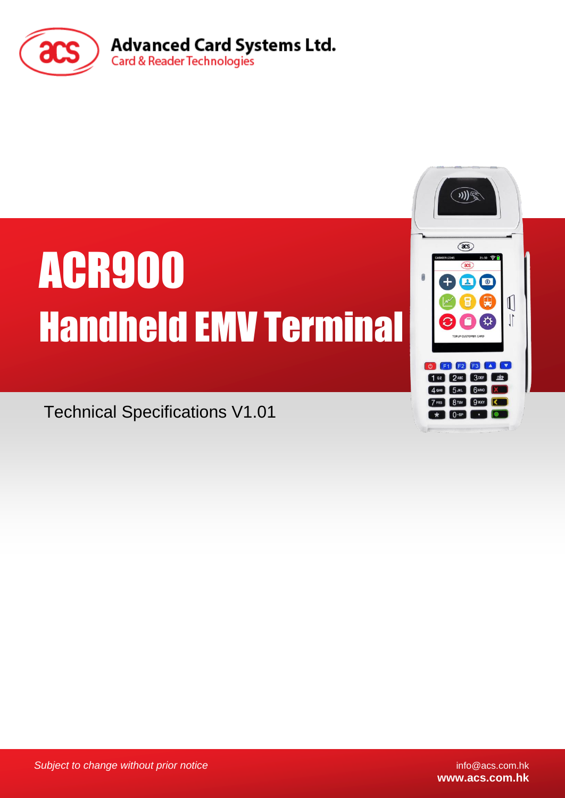

# ACR900 Handheld EMV Terminal

Technical Specifications V1.01

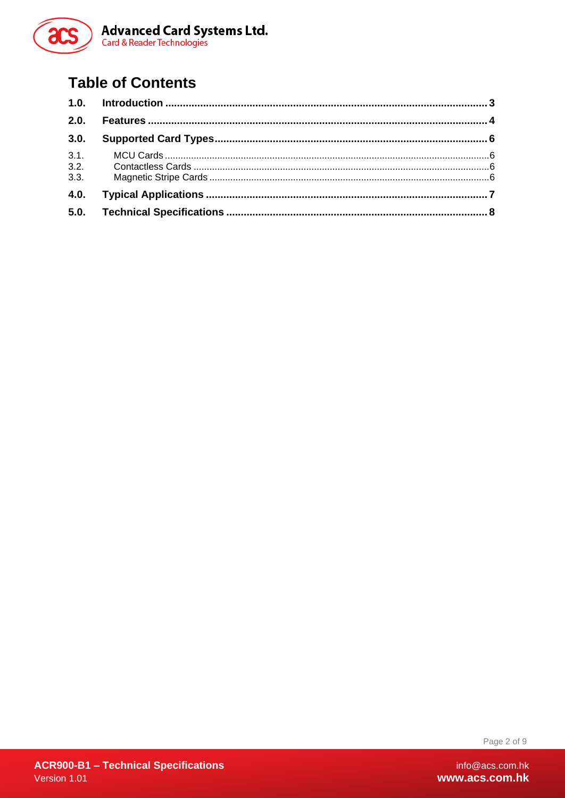

#### **Table of Contents**

| 2.0. |  |
|------|--|
| 3.0. |  |
| 3.1. |  |
| 3.2. |  |
| 3.3. |  |
| 4.0. |  |
|      |  |

Page 2 of 9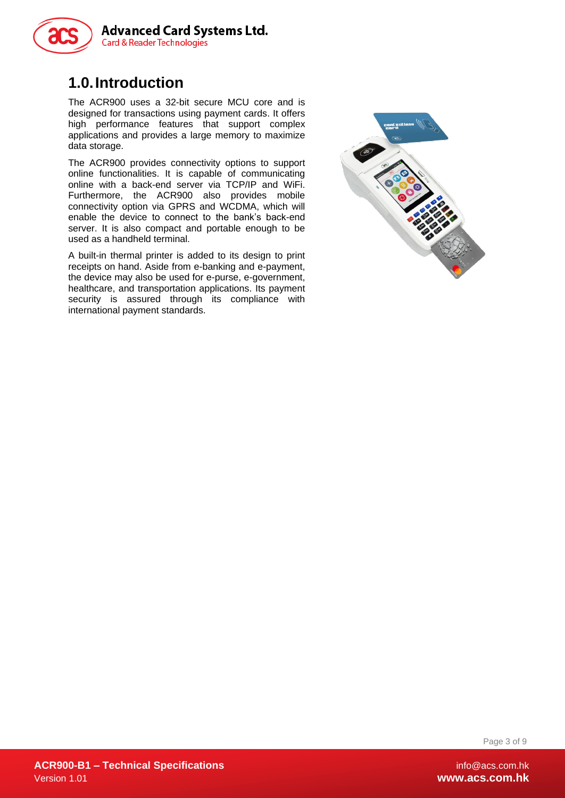

#### <span id="page-2-0"></span>**1.0.Introduction**

The ACR900 uses a 32-bit secure MCU core and is designed for transactions using payment cards. It offers high performance features that support complex applications and provides a large memory to maximize data storage.

The ACR900 provides connectivity options to support online functionalities. It is capable of communicating online with a back-end server via TCP/IP and WiFi. Furthermore, the ACR900 also provides mobile connectivity option via GPRS and WCDMA, which will enable the device to connect to the bank's back-end server. It is also compact and portable enough to be used as a handheld terminal.

A built-in thermal printer is added to its design to print receipts on hand. Aside from e-banking and e-payment, the device may also be used for e-purse, e-government, healthcare, and transportation applications. Its payment security is assured through its compliance with international payment standards.



Page 3 of 9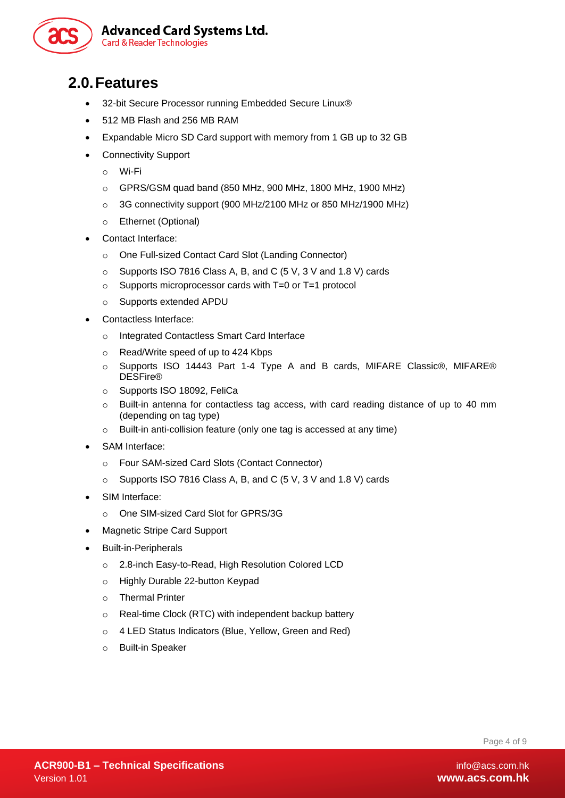

#### <span id="page-3-0"></span>**2.0.Features**

- 32-bit Secure Processor running Embedded Secure Linux®
- 512 MB Flash and 256 MB RAM
- Expandable Micro SD Card support with memory from 1 GB up to 32 GB
- Connectivity Support
	- o Wi-Fi
	- o GPRS/GSM quad band (850 MHz, 900 MHz, 1800 MHz, 1900 MHz)
	- o 3G connectivity support (900 MHz/2100 MHz or 850 MHz/1900 MHz)
	- o Ethernet (Optional)
- Contact Interface:
	- o One Full-sized Contact Card Slot (Landing Connector)
	- o Supports ISO 7816 Class A, B, and C (5 V, 3 V and 1.8 V) cards
	- o Supports microprocessor cards with T=0 or T=1 protocol
	- o Supports extended APDU
- Contactless Interface:
	- o Integrated Contactless Smart Card Interface
	- o Read/Write speed of up to 424 Kbps
	- Supports ISO 14443 Part 1-4 Type A and B cards, MIFARE Classic®, MIFARE® DESFire®
	- o Supports ISO 18092, FeliCa
	- o Built-in antenna for contactless tag access, with card reading distance of up to 40 mm (depending on tag type)
	- o Built-in anti-collision feature (only one tag is accessed at any time)
- SAM Interface:
	- o Four SAM-sized Card Slots (Contact Connector)
	- o Supports ISO 7816 Class A, B, and C (5 V, 3 V and 1.8 V) cards
- SIM Interface:
	- o One SIM-sized Card Slot for GPRS/3G
- Magnetic Stripe Card Support
- Built-in-Peripherals
	- o 2.8-inch Easy-to-Read, High Resolution Colored LCD
	- o Highly Durable 22-button Keypad
	- o Thermal Printer
	- o Real-time Clock (RTC) with independent backup battery
	- o 4 LED Status Indicators (Blue, Yellow, Green and Red)
	- o Built-in Speaker

Page 4 of 9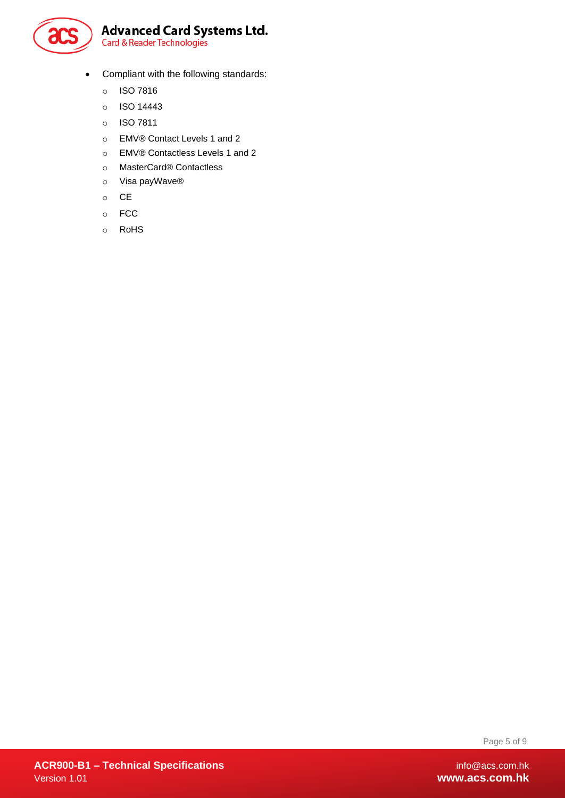

- Compliant with the following standards:
	- o ISO 7816
	- o ISO 14443
	- o ISO 7811
	- o EMV® Contact Levels 1 and 2
	- o EMV® Contactless Levels 1 and 2
	- o MasterCard® Contactless
	- o Visa payWave®
	- o CE
	- o FCC
	- o RoHS

Page 5 of 9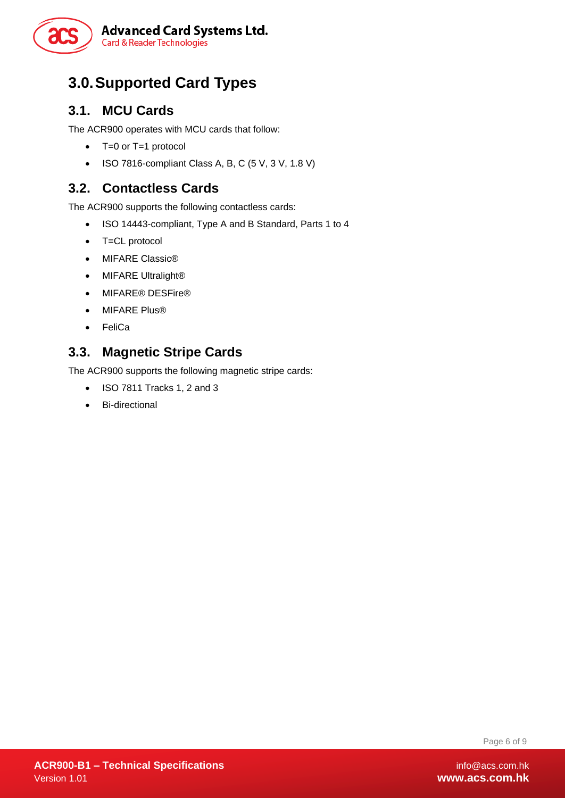

#### <span id="page-5-0"></span>**3.0.Supported Card Types**

#### <span id="page-5-1"></span>**3.1. MCU Cards**

The ACR900 operates with MCU cards that follow:

- T=0 or T=1 protocol
- $\bullet$  ISO 7816-compliant Class A, B, C (5 V, 3 V, 1.8 V)

#### <span id="page-5-2"></span>**3.2. Contactless Cards**

The ACR900 supports the following contactless cards:

- ISO 14443-compliant, Type A and B Standard, Parts 1 to 4
- T=CL protocol
- MIFARE Classic®
- MIFARE Ultralight®
- MIFARE<sup>®</sup> DESFire<sup>®</sup>
- MIFARE Plus®
- FeliCa

#### <span id="page-5-3"></span>**3.3. Magnetic Stripe Cards**

The ACR900 supports the following magnetic stripe cards:

- ISO 7811 Tracks 1, 2 and 3
- Bi-directional

Page 6 of 9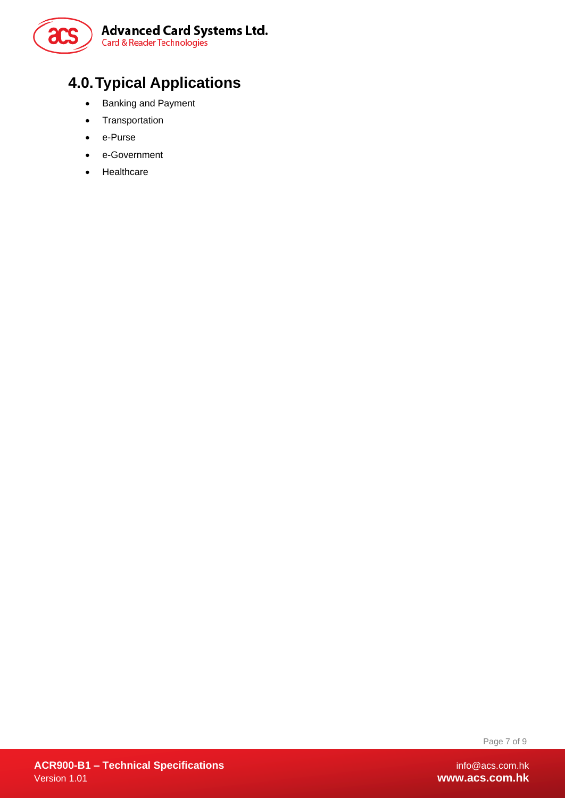

### <span id="page-6-0"></span>**4.0.Typical Applications**

- Banking and Payment
- **•** Transportation
- e-Purse
- e-Government
- Healthcare

Page 7 of 9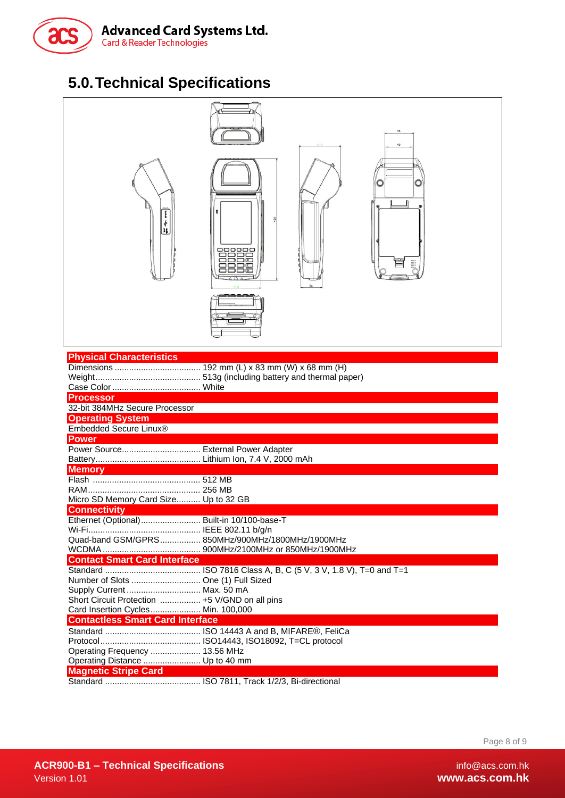

#### <span id="page-7-0"></span>**5.0.Technical Specifications**

| ¢<br>Ħ                                         | 45<br>40<br>О<br>8888<br>□≤<br>$\overline{K}$    |
|------------------------------------------------|--------------------------------------------------|
| <b>Physical Characteristics</b>                |                                                  |
|                                                |                                                  |
|                                                |                                                  |
| <b>Processor</b>                               |                                                  |
| 32-bit 384MHz Secure Processor                 |                                                  |
| <b>Operating System</b>                        |                                                  |
| Embedded Secure Linux®                         |                                                  |
| <b>Power</b>                                   |                                                  |
| Power Source External Power Adapter            |                                                  |
|                                                |                                                  |
| <b>Memory</b>                                  |                                                  |
|                                                |                                                  |
|                                                |                                                  |
| Micro SD Memory Card Size Up to 32 GB          |                                                  |
| <b>Connectivity</b>                            |                                                  |
| Ethernet (Optional)                            | Built-in 10/100-base-T                           |
|                                                | Quad-band GSM/GPRS 850MHz/900MHz/1800MHz/1900MHz |
|                                                |                                                  |
| <b>Contact Smart Card Interface</b>            |                                                  |
|                                                |                                                  |
| Number of Slots  One (1) Full Sized            |                                                  |
| Supply Current  Max. 50 mA                     |                                                  |
| Short Circuit Protection  +5 V/GND on all pins |                                                  |
| Card Insertion Cycles Min. 100,000             |                                                  |
| <b>Contactless Smart Card Interface</b>        |                                                  |
|                                                |                                                  |
|                                                |                                                  |
| Operating Frequency  13.56 MHz                 |                                                  |
| Operating Distance  Up to 40 mm                |                                                  |
| <b>Magnetic Stripe Card</b>                    |                                                  |
|                                                |                                                  |

Page 8 of 9